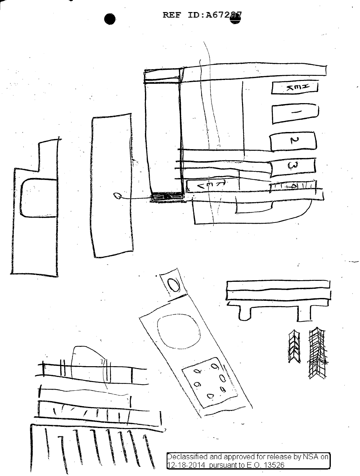

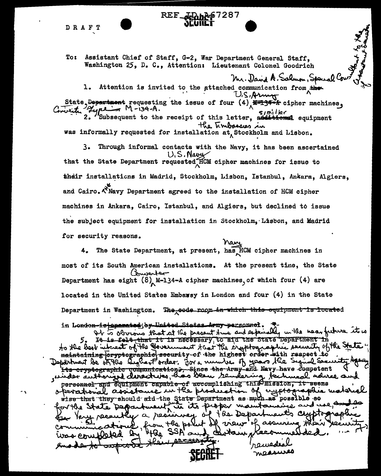DRAFT

To: Assistant Chief of Staff, G-2, War Department General Staff,  $W$ ashington 25, D. C., Attention: Lieutenant Colonel Goodrich

REF 4Dh267287

*...,p* 4 .

m. Dand A. Saluon, Sparal Co.<br>1. Attention is invited to the attached communication from the State Department requesting the issue of four  $(4)$   $\frac{1.5}{1.34-4}$  cipher machine<br>Critical Pipe in M-134-A.<br>2. Subsequent to the receipt of this letter, additional equipment State, Department requesting the issue of four  $(4)$   $\frac{17.34-13.4}{10.4}$  cipher machines, of this letter, and

was informally requested for installation at Stockholm and Lisbon.

3. Through informal contacts with the Navy, it has been ascertained  $U, S.$  Navy that the State Department requested HCM cipher machines for issue to their installations in Madrid, Stockholm, Lisbon, Istanbul, Ankara, Algiers, and Cairo.  $\check{\mathcal{N}}$  Navy Department agreed to the installation of HCM cipher machines in Ankara, Cairo, Istanbul, and Algiers, but declined to issue the subject equipment for installation in Stockholm, Lisbon, and Madrid for security reasons.

ecurity reasons.<br>4. The State Department, at present, has HCM cipher machines in "<br>". most of its South American installations. At the present time, the State Department, at press<br>American installation<br>Comperter<br>ht (8) M-134-A cipher Department has eight  $(8)$ <sub>n</sub>M-134-A cipher machines, of which four (4) are located in the United States Embawsy in London and four (4) in the State Department in Washington. The<sub>x</sub>eede room in which this equipment is located

in London-is eperated by United States Army personnel. It is obvious that at the present time and especially with near future it is

It is felt that it is necessary to aid the state Department in to the best interest of the Government that the exptographic security of the State maintaining eryptographic security of the highest order with respect to Department be office lyglest order. For a number of years the Seguid Security Agency its cryptographic communications. Since the Army and Navy have Competent under authorized derectures, has been rendering fechment adiree and personnel and equipment capable of accomplishing this mission, it seems operational assistance in the production of vyptographic water wise that they should aid the State Department as much as possible so for the State papartment in its proper maintaining and use, and they a realisting of the Departments cuptogre Yery pece incl, from the polit of view of asse ug Hosain yee HRA SSA aud Growital Dack Welled by newedes <del>aadpat</del> measures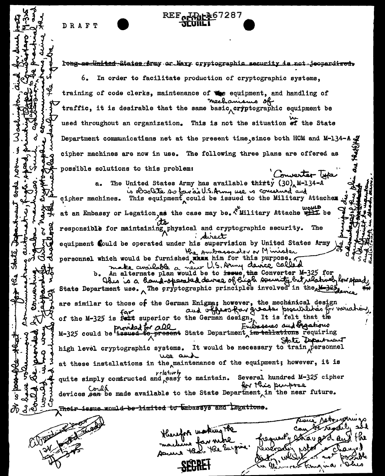DRAFT

รุ่

Shats

 $\mathcal{G}$ 

ক্ট ঃষ্ঠ

long as United States Army or Navy cryptographic security is not jeopardired. 6. In order to facilitate production of cryptographic systems. training of code clerks, maintenance of the equipment, and handling of mechanisms of traffic, it is desirable that the same basic cryptographic equipment be used throughout an organization. This is not the situation of the State Department communications net at the present time, since both HCM and M-134-A & cipher machines are now in use. The following three plans are offered as possible solutions to this problem: Converter Type The United States Army has available thirty (30), M-134-A  $a<sub>1</sub>$ is obsolete so fariao U.S.Army use is concerned and cipher machines. This equipment could be issued to the Military Attachex at an Embassy or Legation<sub>y</sub>as the case may be. Willitary Attache will be responsible for maintaining physical and cryptographic security. The i direct equipment Could be operated under his supervision by United States Army the Aubassactor or Minister personnel which would be furnished when him for this purpose, make cuailable a new U.S. Army device called An alternate plan would be to issue, the Converter M-325 for<br>Qhis is a hand-spended device of bigh security but relatively low of  $\mathbf b$ . State Department use. The cryptographic principles involved in the 125 percent are similar to those of the German Enigma; however, the mechanical design and offers far greater production for variation far of the M-325 is felt superior to the German design, Embassies and Sepations provided for all state Department, in tailations requiring<br>M-325 could be issued to present State Department, in tailations requiring Solte Ispartment high level cryptographic systems. It would be necessary to train personnel use and at these installations in the maintenance of the equipment; however, it is r olatively Several hundred M-325 cipher quite simply contructed and easy to maintain. for this purpose devices pan be made available to the State Department in the near future. Their issue would be limited to Embassys and Legations. ratorophin أمسه JUST BEAT Herefor working the the Eurgina. SEGRE Jhis نه ره س

REF. IDt 267287 SCUNCI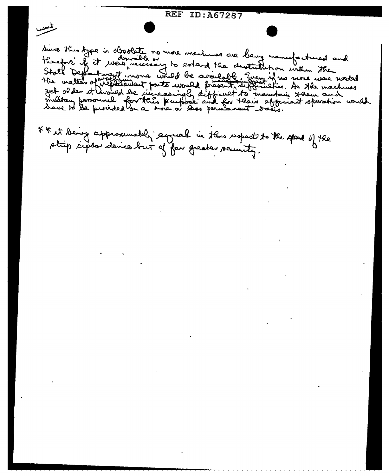## REF ID:A67287

سيسمي

since this type is obsolate no more maisures are being manufactured and therefore if it were received to extend the designamental of the designation of the

\* \* it being approximately agreed in this respect to the spead of the strip cipber device but of far greater sommity.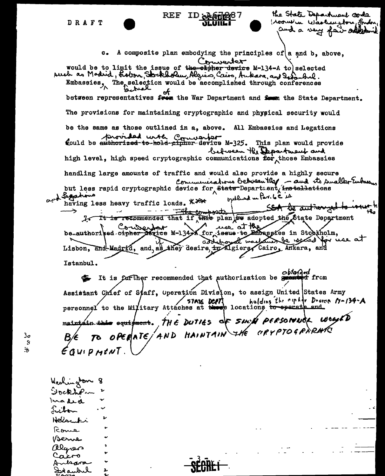the State Department code  $\mathbf{REF}$  $ID \ge 87$ troome washington, fordor, DRAFT ALUNI and a very fair additional A composite plan embodying the principles of a and b, above,  $c -$ Converter would be to limit the issue of the cripher device M-134-A to selected such as Madrid, Labon, Stockbolw, Algres, Cairo, Ankara, and Istonbel. Embassies, The selection would be accomplished through conferences between representatives from the War Department and form the State Department. The provisions for maintaining cryptographic and physical security would be the same as those outlined in a, above. All Embassies and Legations provided unth Conventor M-325. This plan would provide between the Department and high level, high speed cryptographic communications for those Embassies handling large amounts of traffic and would also provide a highly secure Communications between that - and its smaller Embres but less rapid cryptographic device for State Department installations and Lagations outling in Par. 6 2 is having less heavy traffic loads. \*\*\* Son the author go  $- - - - - -$ <u>composite</u> It is recommended that if this plan is adopted the State Department be-authorized cipher dévice M-134 of for issue to Embassies in Stockholm, addet oral machenos be issued for use at Lisbon, and Madrid, and as they desire in Algiers, Cairo, Ankara, and Istanbul.

oblanted that authorization be granted <del>od</del> from Assistant Chief of Staff, Uperation Division, to assign United States Army holding the cipatr Dovice M-134-A personnel to the Military Attaches at those locations to operate and maintain this equipment. THE DUTIES OF SININ PERSONNER WORSED OPERATE/AND HAINTAIN THE CRYPTOGRAPHIC B/E  $T^{\alpha}$ EQUIPMENT.

Washington -8 Sockhol maded سملان Helanki Rome Berne algren فمغص Antsara

Dodand l